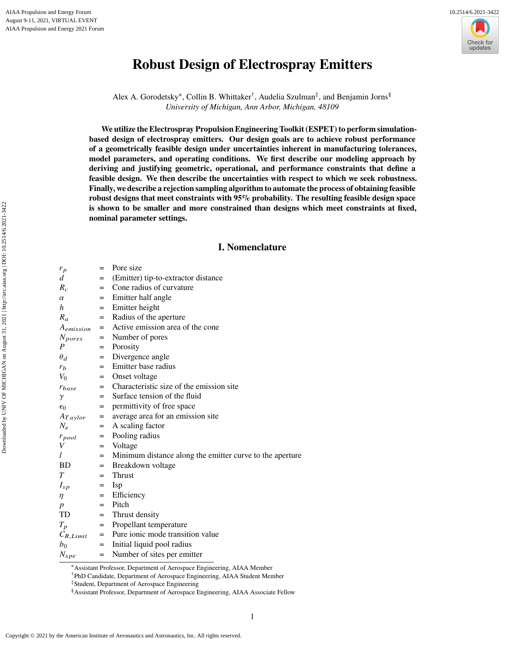

# **Robust Design of Electrospray Emitters**

Alex A. Gorodetsky\*, Collin B. Whittaker<sup>†</sup>, Audelia Szulman<sup>‡</sup>, and Benjamin Jorns<sup>§</sup> *University of Michigan, Ann Arbor, Michigan, 48109*

**We utilize the Electrospray Propulsion Engineering Toolkit (ESPET) to perform simulationbased design of electrospray emitters. Our design goals are to achieve robust performance of a geometrically feasible design under uncertainties inherent in manufacturing tolerances, model parameters, and operating conditions. We first describe our modeling approach by deriving and justifying geometric, operational, and performance constraints that define a feasible design. We then describe the uncertainties with respect to which we seek robustness. Finally, we describe a rejection sampling algorithm to automate the process of obtaining feasible robust designs that meet constraints with 95% probability. The resulting feasible design space is shown to be smaller and more constrained than designs which meet constraints at fixed, nominal parameter settings.**

# **I. Nomenclature**

| $r_p$            | $=$ | Pore size                                                |
|------------------|-----|----------------------------------------------------------|
| d                | $=$ | (Emitter) tip-to-extractor distance                      |
| $R_c$            | $=$ | Cone radius of curvature                                 |
| $\alpha$         | $=$ | Emitter half angle                                       |
| h                | $=$ | Emitter height                                           |
| $R_{\alpha}$     | $=$ | Radius of the aperture                                   |
| $A_{emission}$   | $=$ | Active emission area of the cone                         |
| $N_{pores}$      |     | = Number of pores                                        |
| $\boldsymbol{P}$ | $=$ | Porosity                                                 |
| $\theta_d$       | $=$ | Divergence angle                                         |
| $r_b$            | $=$ | Emitter base radius                                      |
| $V_0$            | $=$ | Onset voltage                                            |
| $r_{base}$       |     | = Characteristic size of the emission site               |
| $\gamma$         | $=$ | Surface tension of the fluid                             |
| $\epsilon_0$     | $=$ | permittivity of free space                               |
| $A_{Taylor}$     | $=$ | average area for an emission site                        |
| $N_e$            | $=$ | A scaling factor                                         |
| $r_{pool}$       | $=$ | Pooling radius                                           |
| V                |     | $=$ Voltage                                              |
| $l_{-}$          | $=$ | Minimum distance along the emitter curve to the aperture |
| BD -             | $=$ | Breakdown voltage                                        |
| T                | $=$ | <b>Thrust</b>                                            |
| $I_{sp}$         | $=$ | <b>Isp</b>                                               |
| $\eta$           | $=$ | Efficiency                                               |
| $\boldsymbol{p}$ | $=$ | Pitch                                                    |
| TD               | $=$ | Thrust density                                           |
| $T_p$            | $=$ | Propellant temperature                                   |
| $C_{R,Limit}$    |     | = Pure ionic mode transition value                       |
| b <sub>0</sub>   | $=$ | Initial liquid pool radius                               |
| $N_{spe}$        | $=$ | Number of sites per emitter                              |

<sup>∗</sup>Assistant Professor, Department of Aerospace Engineering, AIAA Member

†PhD Candidate, Department of Aerospace Engineering, AIAA Student Member

‡Student, Department of Aerospace Engineering

<sup>§</sup>Assistant Professor, Department of Aerospace Engineering, AIAA Associate Fellow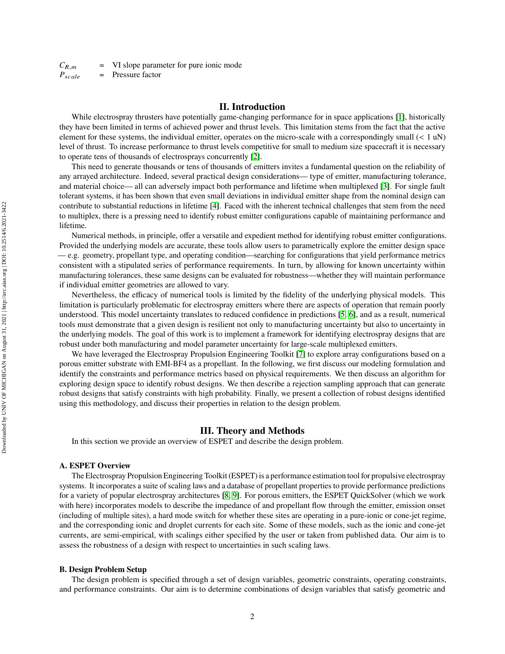$C_{R,m}$  = VI slope parameter for pure ionic mode  $P_{scale}$  = Pressure factor

## **II. Introduction**

While electrospray thrusters have potentially game-changing performance for in space applications [\[1\]](#page-11-0), historically they have been limited in terms of achieved power and thrust levels. This limitation stems from the fact that the active element for these systems, the individual emitter, operates on the micro-scale with a correspondingly small  $(< 1 \text{ uN})$ level of thrust. To increase performance to thrust levels competitive for small to medium size spacecraft it is necessary to operate tens of thousands of electrosprays concurrently [\[2\]](#page-11-1).

This need to generate thousands or tens of thousands of emitters invites a fundamental question on the reliability of any arrayed architecture. Indeed, several practical design considerations— type of emitter, manufacturing tolerance, and material choice— all can adversely impact both performance and lifetime when multiplexed [\[3\]](#page-11-2). For single fault tolerant systems, it has been shown that even small deviations in individual emitter shape from the nominal design can contribute to substantial reductions in lifetime [\[4\]](#page-11-3). Faced with the inherent technical challenges that stem from the need to multiplex, there is a pressing need to identify robust emitter configurations capable of maintaining performance and lifetime.

Numerical methods, in principle, offer a versatile and expedient method for identifying robust emitter configurations. Provided the underlying models are accurate, these tools allow users to parametrically explore the emitter design space — e.g. geometry, propellant type, and operating condition—searching for configurations that yield performance metrics consistent with a stipulated series of performance requirements. In turn, by allowing for known uncertainty within manufacturing tolerances, these same designs can be evaluated for robustness—whether they will maintain performance if individual emitter geometries are allowed to vary.

Nevertheless, the efficacy of numerical tools is limited by the fidelity of the underlying physical models. This limitation is particularly problematic for electrospray emitters where there are aspects of operation that remain poorly understood. This model uncertainty translates to reduced confidence in predictions [\[5,](#page-11-4) [6\]](#page-11-5), and as a result, numerical tools must demonstrate that a given design is resilient not only to manufacturing uncertainty but also to uncertainty in the underlying models. The goal of this work is to implement a framework for identifying electrospray designs that are robust under both manufacturing and model parameter uncertainty for large-scale multiplexed emitters.

We have leveraged the Electrospray Propulsion Engineering Toolkit [\[7\]](#page-11-6) to explore array configurations based on a porous emitter substrate with EMI-BF4 as a propellant. In the following, we first discuss our modeling formulation and identify the constraints and performance metrics based on physical requirements. We then discuss an algorithm for exploring design space to identify robust designs. We then describe a rejection sampling approach that can generate robust designs that satisfy constraints with high probability. Finally, we present a collection of robust designs identified using this methodology, and discuss their properties in relation to the design problem.

## **III. Theory and Methods**

In this section we provide an overview of ESPET and describe the design problem.

#### **A. ESPET Overview**

The Electrospray Propulsion Engineering Toolkit (ESPET) is a performance estimation tool for propulsive electrospray systems. It incorporates a suite of scaling laws and a database of propellant properties to provide performance predictions for a variety of popular electrospray architectures [\[8,](#page-11-7) [9\]](#page-11-8). For porous emitters, the ESPET QuickSolver (which we work with here) incorporates models to describe the impedance of and propellant flow through the emitter, emission onset (including of multiple sites), a hard mode switch for whether these sites are operating in a pure-ionic or cone-jet regime, and the corresponding ionic and droplet currents for each site. Some of these models, such as the ionic and cone-jet currents, are semi-empirical, with scalings either specified by the user or taken from published data. Our aim is to assess the robustness of a design with respect to uncertainties in such scaling laws.

#### **B. Design Problem Setup**

The design problem is specified through a set of design variables, geometric constraints, operating constraints, and performance constraints. Our aim is to determine combinations of design variables that satisfy geometric and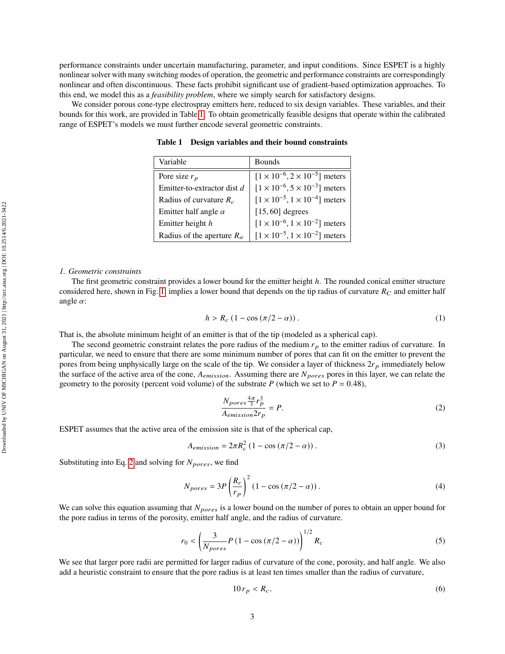performance constraints under uncertain manufacturing, parameter, and input conditions. Since ESPET is a highly nonlinear solver with many switching modes of operation, the geometric and performance constraints are correspondingly nonlinear and often discontinuous. These facts prohibit significant use of gradient-based optimization approaches. To this end, we model this as a *feasibility problem*, where we simply search for satisfactory designs.

<span id="page-2-0"></span>We consider porous cone-type electrospray emitters here, reduced to six design variables. These variables, and their bounds for this work, are provided in Table [1.](#page-2-0) To obtain geometrically feasible designs that operate within the calibrated range of ESPET's models we must further encode several geometric constraints.

| Variable                     | <b>Bounds</b>                                 |
|------------------------------|-----------------------------------------------|
| Pore size $r_p$              | $[1 \times 10^{-6}, 2 \times 10^{-5}]$ meters |
| Emitter-to-extractor dist d  | $[1 \times 10^{-6}, 5 \times 10^{-3}]$ meters |
| Radius of curvature $R_c$    | $[1 \times 10^{-5}, 1 \times 10^{-4}]$ meters |
| Emitter half angle $\alpha$  | $[15, 60]$ degrees                            |
| Emitter height h             | $[1 \times 10^{-6}, 1 \times 10^{-2}]$ meters |
| Radius of the aperture $R_a$ | $[1 \times 10^{-5}, 1 \times 10^{-2}]$ meters |

**Table 1 Design variables and their bound constraints**

## *1. Geometric constraints*

The first geometric constraint provides a lower bound for the emitter height  $h$ . The rounded conical emitter structure considered here, shown in Fig. [1,](#page-3-0) implies a lower bound that depends on the tip radius of curvature  $R_C$  and emitter half angle  $\alpha$ :

<span id="page-2-5"></span>
$$
h > R_c \left(1 - \cos\left(\frac{\pi}{2} - \alpha\right)\right). \tag{1}
$$

That is, the absolute minimum height of an emitter is that of the tip (modeled as a spherical cap).

The second geometric constraint relates the pore radius of the medium  $r_p$  to the emitter radius of curvature. In particular, we need to ensure that there are some minimum number of pores that can fit on the emitter to prevent the pores from being unphysically large on the scale of the tip. We consider a layer of thickness  $2r_p$  immediately below the surface of the active area of the cone,  $A_{emission}$ . Assuming there are  $N_{pores}$  pores in this layer, we can relate the geometry to the porosity (percent void volume) of the substrate P (which we set to  $P = 0.48$ ),

<span id="page-2-2"></span><span id="page-2-1"></span>
$$
\frac{N_{pores}\frac{4\pi}{3}r_p^3}{A_{emission}2r_p} = P.
$$
\n(2)

ESPET assumes that the active area of the emission site is that of the spherical cap,

$$
A_{emission} = 2\pi R_c^2 \left(1 - \cos\left(\frac{\pi}{2} - \alpha\right)\right). \tag{3}
$$

Substituting into Eq. [2](#page-2-1) and solving for  $N_{pores}$ , we find

$$
N_{pores} = 3P\left(\frac{R_c}{r_p}\right)^2 (1 - \cos\left(\frac{\pi}{2} - \alpha\right)).\tag{4}
$$

We can solve this equation assuming that  $N_{pores}$  is a lower bound on the number of pores to obtain an upper bound for the pore radius in terms of the porosity, emitter half angle, and the radius of curvature.

$$
r_0 < \left(\frac{3}{N_{pores}}P\left(1 - \cos\left(\frac{\pi}{2} - \alpha\right)\right)\right)^{1/2} R_c \tag{5}
$$

We see that larger pore radii are permitted for larger radius of curvature of the cone, porosity, and half angle. We also add a heuristic constraint to ensure that the pore radius is at least ten times smaller than the radius of curvature,

<span id="page-2-4"></span><span id="page-2-3"></span>
$$
10r_p < R_c. \tag{6}
$$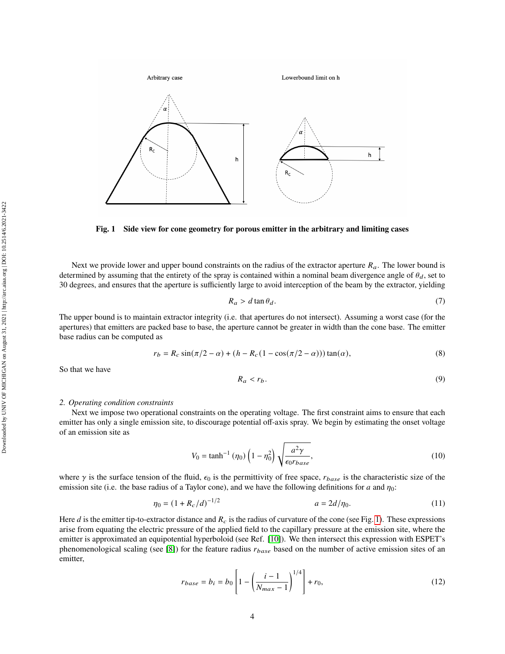<span id="page-3-0"></span>

**Fig. 1 Side view for cone geometry for porous emitter in the arbitrary and limiting cases**

Next we provide lower and upper bound constraints on the radius of the extractor aperture  $R_a$ . The lower bound is determined by assuming that the entirety of the spray is contained within a nominal beam divergence angle of  $\theta_d$ , set to 30 degrees, and ensures that the aperture is sufficiently large to avoid interception of the beam by the extractor, yielding

<span id="page-3-3"></span>
$$
R_a > d \tan \theta_d. \tag{7}
$$

The upper bound is to maintain extractor integrity (i.e. that apertures do not intersect). Assuming a worst case (for the apertures) that emitters are packed base to base, the aperture cannot be greater in width than the cone base. The emitter base radius can be computed as

$$
r_b = R_c \sin(\pi/2 - \alpha) + (h - R_c(1 - \cos(\pi/2 - \alpha)))\tan(\alpha),
$$
 (8)

So that we have

<span id="page-3-4"></span><span id="page-3-1"></span>
$$
R_a < r_b. \tag{9}
$$

#### *2. Operating condition constraints*

Next we impose two operational constraints on the operating voltage. The first constraint aims to ensure that each emitter has only a single emission site, to discourage potential off-axis spray. We begin by estimating the onset voltage of an emission site as

$$
V_0 = \tanh^{-1}(\eta_0) \left(1 - \eta_0^2\right) \sqrt{\frac{a^2 \gamma}{\epsilon_0 r_{base}}},\tag{10}
$$

where  $\gamma$  is the surface tension of the fluid,  $\epsilon_0$  is the permittivity of free space,  $r_{base}$  is the characteristic size of the emission site (i.e. the base radius of a Taylor cone), and we have the following definitions for a and  $\eta_0$ :

<span id="page-3-2"></span> $1/2$ 

$$
\eta_0 = (1 + R_c/d)^{-1/2} \qquad a = 2d/\eta_0. \tag{11}
$$

Here d is the emitter tip-to-extractor distance and  $R_c$  is the radius of curvature of the cone (see Fig. [1\)](#page-3-0). These expressions arise from equating the electric pressure of the applied field to the capillary pressure at the emission site, where the emitter is approximated an equipotential hyperboloid (see Ref. [\[10\]](#page-11-9)). We then intersect this expression with ESPET's phenomenological scaling (see [\[8\]](#page-11-7)) for the feature radius  $r_{base}$  based on the number of active emission sites of an emitter,

$$
r_{base} = b_i = b_0 \left[ 1 - \left( \frac{i - 1}{N_{max} - 1} \right)^{1/4} \right] + r_0,
$$
\n(12)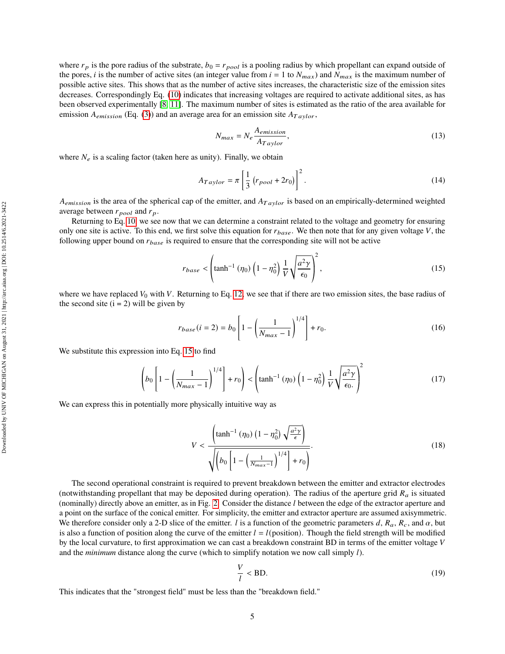where  $r_p$  is the pore radius of the substrate,  $b_0 = r_{pool}$  is a pooling radius by which propellant can expand outside of the pores, *i* is the number of active sites (an integer value from  $i = 1$  to  $N_{max}$ ) and  $N_{max}$  is the maximum number of possible active sites. This shows that as the number of active sites increases, the characteristic size of the emission sites decreases. Correspondingly Eq. [\(10\)](#page-3-1) indicates that increasing voltages are required to activate additional sites, as has been observed experimentally [\[8,](#page-11-7) [11\]](#page-11-10). The maximum number of sites is estimated as the ratio of the area available for emission  $A_{emission}$  (Eq. [\(3\)](#page-2-2)) and an average area for an emission site  $A_{Taylor}$ ,

$$
N_{max} = N_e \frac{A_{emission}}{A_{Taylor}},
$$
\n(13)

where  $N_e$  is a scaling factor (taken here as unity). Finally, we obtain

$$
A_{Taylor} = \pi \left[ \frac{1}{3} \left( r_{pool} + 2r_0 \right) \right]^2.
$$
 (14)

 $A_{emission}$  is the area of the spherical cap of the emitter, and  $A_{Taylor}$  is based on an empirically-determined weighted average between  $r_{pool}$  and  $r_p$ .

Returning to Eq. [10,](#page-3-1) we see now that we can determine a constraint related to the voltage and geometry for ensuring only one site is active. To this end, we first solve this equation for  $r_{base}$ . We then note that for any given voltage  $V$ , the following upper bound on  $r_{base}$  is required to ensure that the corresponding site will not be active

<span id="page-4-0"></span>
$$
r_{base} < \left(\tanh^{-1}(\eta_0)\left(1-\eta_0^2\right)\frac{1}{V}\sqrt{\frac{a^2\gamma}{\epsilon_0}}\right)^2,
$$
\n(15)

where we have replaced  $V_0$  with V. Returning to Eq. [12,](#page-3-2) we see that if there are two emission sites, the base radius of the second site  $(i = 2)$  will be given by

$$
r_{base}(i=2) = b_0 \left[ 1 - \left( \frac{1}{N_{max} - 1} \right)^{1/4} \right] + r_0.
$$
 (16)

We substitute this expression into Eq. [15](#page-4-0) to find

$$
\left(b_0 \left[1 - \left(\frac{1}{N_{max} - 1}\right)^{1/4}\right] + r_0\right) < \left(\tanh^{-1}\left(\eta_0\right)\left(1 - \eta_0^2\right)\frac{1}{V}\sqrt{\frac{a^2\gamma}{\epsilon_0}}\right)^2\tag{17}
$$

We can express this in potentially more physically intuitive way as

$$
V < \frac{\left(\tanh^{-1}(\eta_0) \left(1 - \eta_0^2\right) \sqrt{\frac{a^2 \gamma}{\epsilon}}\right)}{\sqrt{\left(b_0 \left[1 - \left(\frac{1}{N_{max} - 1}\right)^{1/4}\right] + r_0\right)}}.
$$
\n(18)

The second operational constraint is required to prevent breakdown between the emitter and extractor electrodes (notwithstanding propellant that may be deposited during operation). The radius of the aperture grid  $R_a$  is situated (nominally) directly above an emitter, as in Fig. [2.](#page-5-0) Consider the distance  $l$  between the edge of the extractor aperture and a point on the surface of the conical emitter. For simplicity, the emitter and extractor aperture are assumed axisymmetric. We therefore consider only a 2-D slice of the emitter. *l* is a function of the geometric parameters d,  $R_a$ ,  $R_c$ , and  $\alpha$ , but is also a function of position along the curve of the emitter  $l = l$ (position). Though the field strength will be modified by the local curvature, to first approximation we can cast a breakdown constraint BD in terms of the emitter voltage  $V$ and the *minimum* distance along the curve (which to simplify notation we now call simply  $l$ ).

$$
\frac{V}{l} < \text{BD}.\tag{19}
$$

This indicates that the "strongest field" must be less than the "breakdown field."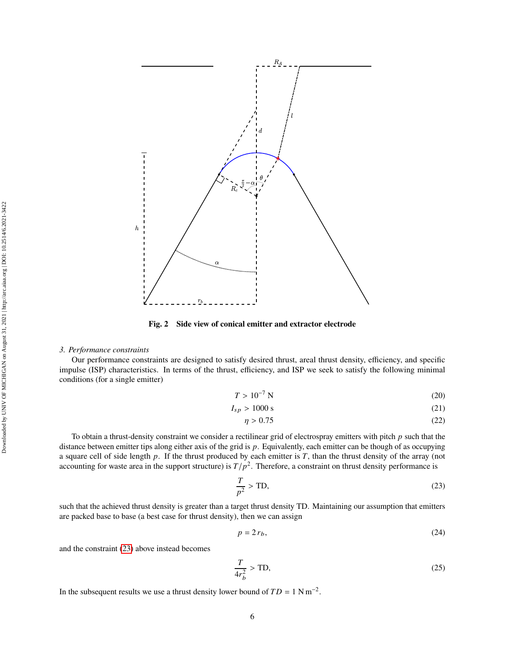<span id="page-5-0"></span>

**Fig. 2 Side view of conical emitter and extractor electrode**

## *3. Performance constraints*

Our performance constraints are designed to satisfy desired thrust, areal thrust density, efficiency, and specific impulse (ISP) characteristics. In terms of the thrust, efficiency, and ISP we seek to satisfy the following minimal conditions (for a single emitter)

$$
T > 10^{-7} \text{ N} \tag{20}
$$

$$
I_{sp} > 1000 \text{ s} \tag{21}
$$

$$
\eta > 0.75\tag{22}
$$

To obtain a thrust-density constraint we consider a rectilinear grid of electrospray emitters with pitch  $p$  such that the distance between emitter tips along either axis of the grid is p. Equivalently, each emitter can be though of as occupying a square cell of side length  $p$ . If the thrust produced by each emitter is  $T$ , than the thrust density of the array (not accounting for waste area in the support structure) is  $T/p^2$ . Therefore, a constraint on thrust density performance is

<span id="page-5-1"></span>
$$
\frac{T}{p^2} > \text{TD},\tag{23}
$$

such that the achieved thrust density is greater than a target thrust density TD. Maintaining our assumption that emitters are packed base to base (a best case for thrust density), then we can assign

$$
p = 2r_b,\tag{24}
$$

and the constraint [\(23\)](#page-5-1) above instead becomes

$$
\frac{T}{4r_b^2} > \text{TD},\tag{25}
$$

In the subsequent results we use a thrust density lower bound of  $TD = 1 \text{ N m}^{-2}$ .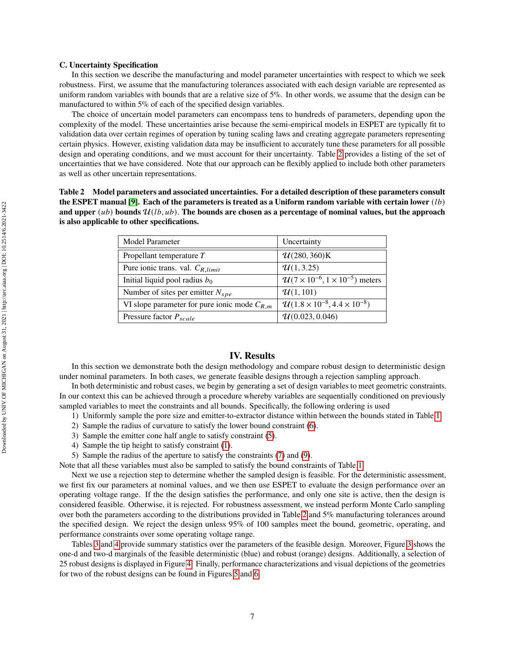#### **C. Uncertainty Specification**

In this section we describe the manufacturing and model parameter uncertainties with respect to which we seek robustness. First, we assume that the manufacturing tolerances associated with each design variable are represented as uniform random variables with bounds that are a relative size of 5%. In other words, we assume that the design can be manufactured to within 5% of each of the specified design variables.

The choice of uncertain model parameters can encompass tens to hundreds of parameters, depending upon the complexity of the model. These uncertainties arise because the semi-empirical models in ESPET are typically fit to validation data over certain regimes of operation by tuning scaling laws and creating aggregate parameters representing certain physics. However, existing validation data may be insufficient to accurately tune these parameters for all possible design and operating conditions, and we must account for their uncertainty. Table [2](#page-6-0) provides a listing of the set of uncertainties that we have considered. Note that our approach can be flexibly applied to include both other parameters as well as other uncertain representations.

<span id="page-6-0"></span>**Table 2 Model parameters and associated uncertainties. For a detailed description of these parameters consult the ESPET manual [\[9\]](#page-11-8). Each of the parameters is treated as a Uniform random variable with certain lower**  $(lb)$ and upper  $(ub)$  bounds  $\mathcal{U}(lb, ub)$ . The bounds are chosen as a percentage of nominal values, but the approach **is also applicable to other specifications.**

| Model Parameter                                  | Uncertainty                                           |
|--------------------------------------------------|-------------------------------------------------------|
| Propellant temperature $T$                       | U(280, 360)K                                          |
| Pure ionic trans. val. $C_{R,limit}$             | $\mathcal{U}(1, 3.25)$                                |
| Initial liquid pool radius $b_0$                 | $U(7 \times 10^{-6}, 1 \times 10^{-5})$ meters        |
| Number of sites per emitter $N_{spe}$            | $\mathcal{U}(1, 101)$                                 |
| VI slope parameter for pure ionic mode $C_{R,m}$ | $\mathcal{U}(1.8 \times 10^{-8}, 4.4 \times 10^{-8})$ |
| Pressure factor $P_{scale}$                      | U(0.023, 0.046)                                       |

# **IV. Results**

In this section we demonstrate both the design methodology and compare robust design to deterministic design under nominal parameters. In both cases, we generate feasible designs through a rejection sampling approach.

In both deterministic and robust cases, we begin by generating a set of design variables to meet geometric constraints. In our context this can be achieved through a procedure whereby variables are sequentially conditioned on previously sampled variables to meet the constraints and all bounds. Specifically, the following ordering is used

- 1) Uniformly sample the pore size and emitter-to-extractor distance within between the bounds stated in Table [1.](#page-2-0)
- 2) Sample the radius of curvature to satisfy the lower bound constraint [\(6\)](#page-2-3).
- 3) Sample the emitter cone half angle to satisfy constraint [\(5\)](#page-2-4).
- 4) Sample the tip height to satisfy constraint [\(1\)](#page-2-5).
- 5) Sample the radius of the aperture to satisfy the constraints [\(7\)](#page-3-3) and [\(9\)](#page-3-4).

Note that all these variables must also be sampled to satisfy the bound constraints of Table [1.](#page-2-0)

Next we use a rejection step to determine whether the sampled design is feasible. For the deterministic assessment, we first fix our parameters at nominal values, and we then use ESPET to evaluate the design performance over an operating voltage range. If the the design satisfies the performance, and only one site is active, then the design is considered feasible. Otherwise, it is rejected. For robustness assessment, we instead perform Monte Carlo sampling over both the parameters according to the distributions provided in Table [2](#page-6-0) and 5% manufacturing tolerances around the specified design. We reject the design unless 95% of 100 samples meet the bound, geometric, operating, and performance constraints over some operating voltage range.

Tables [3](#page-9-0) and [4](#page-9-1) provide summary statistics over the parameters of the feasible design. Moreover, Figure [3](#page-7-0) shows the one-d and two-d marginals of the feasible deterministic (blue) and robust (orange) designs. Additionally, a selection of 25 robust designs is displayed in Figure [4.](#page-8-0) Finally, performance characterizations and visual depictions of the geometries for two of the robust designs can be found in Figures [5](#page-9-2) and [6.](#page-10-0)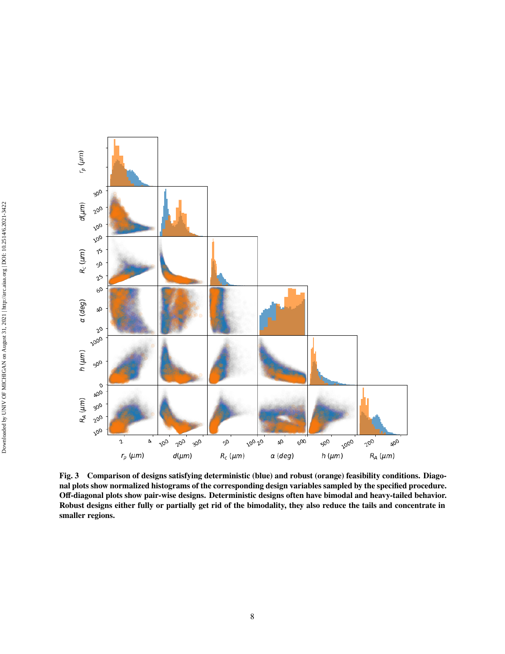<span id="page-7-0"></span>

**Fig. 3 Comparison of designs satisfying deterministic (blue) and robust (orange) feasibility conditions. Diagonal plots show normalized histograms of the corresponding design variables sampled by the specified procedure. Off-diagonal plots show pair-wise designs. Deterministic designs often have bimodal and heavy-tailed behavior. Robust designs either fully or partially get rid of the bimodality, they also reduce the tails and concentrate in smaller regions.**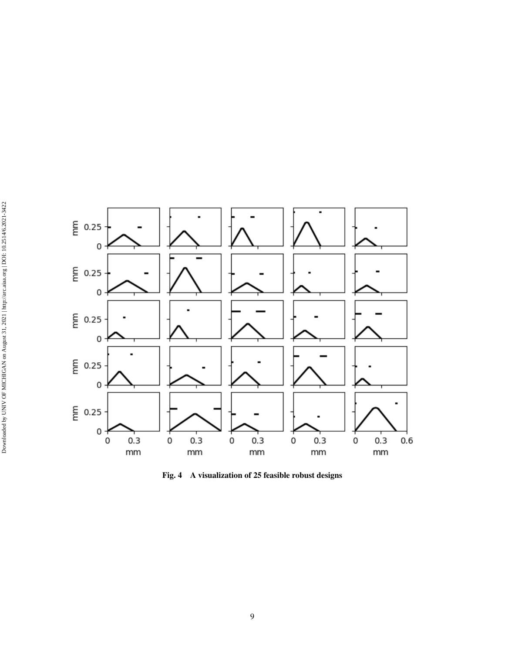<span id="page-8-0"></span>

**Fig. 4 A visualization of 25 feasible robust designs**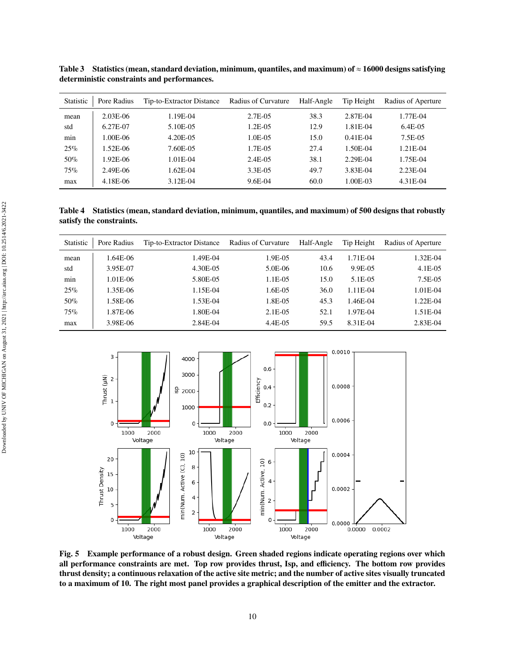| Statistic | Pore Radius | Tip-to-Extractor Distance | Radius of Curvature | Half-Angle | Tip Height | Radius of Aperture |
|-----------|-------------|---------------------------|---------------------|------------|------------|--------------------|
| mean      | $2.03E-06$  | 1.19E-04                  | $2.7E-0.5$          | 38.3       | 2.87E-04   | 1.77E-04           |
| std       | 6.27E-07    | 5.10E-05                  | $1.2E-0.5$          | 12.9       | 1.81E-04   | $6.4E-0.5$         |
| min       | 1.00E-06    | 4.20E-05                  | 1.0E-05             | 15.0       | $0.41E-04$ | 7.5E-05            |
| 25%       | $1.52E-06$  | 7.60E-05                  | 1.7E-05             | 27.4       | 1.50E-04   | 1.21E-04           |
| 50%       | 1.92E-06    | 1.01E-04                  | 2.4E-05             | 38.1       | 2.29E-04   | 1.75E-04           |
| 75%       | 2.49E-06    | 1.62E-04                  | 3.3E-05             | 49.7       | 3.83E-04   | 2.23E-04           |
| max       | 4.18E-06    | 3.12E-04                  | 9.6E-04             | 60.0       | 1.00E-03   | 4.31E-04           |

<span id="page-9-0"></span>**Table 3 Statistics (mean, standard deviation, minimum, quantiles, and maximum) of** ≈ **16000 designs satisfying deterministic constraints and performances.**

<span id="page-9-1"></span>**Table 4 Statistics (mean, standard deviation, minimum, quantiles, and maximum) of 500 designs that robustly satisfy the constraints.**

| <b>Statistic</b> | Pore Radius | Tip-to-Extractor Distance | Radius of Curvature | Half-Angle | Tip Height | Radius of Aperture |
|------------------|-------------|---------------------------|---------------------|------------|------------|--------------------|
| mean             | 1.64E-06    | 1.49E-04                  | 1.9E-05             | 43.4       | 1.71E-04   | 1.32E-04           |
| std              | 3.95E-07    | 4.30E-05                  | $5.0E-06$           | 10.6       | 9.9E-05    | $4.1E-05$          |
| min              | 1.01E-06    | 5.80E-05                  | 1.1E-05             | 15.0       | 5.1E-05    | 7.5E-05            |
| 25%              | 1.35E-06    | 1.15E-04                  | 1.6E-05             | 36.0       | $1.11E-04$ | $1.01E-04$         |
| $50\%$           | 1.58E-06    | 1.53E-04                  | 1.8E-05             | 45.3       | 1.46E-04   | 1.22E-04           |
| 75%              | 1.87E-06    | 1.80E-04                  | $2.1E-0.5$          | 52.1       | 1.97E-04   | 1.51E-04           |
| max              | 3.98E-06    | 2.84E-04                  | 4.4E-05             | 59.5       | 8.31E-04   | 2.83E-04           |

<span id="page-9-2"></span>

**Fig. 5 Example performance of a robust design. Green shaded regions indicate operating regions over which all performance constraints are met. Top row provides thrust, Isp, and efficiency. The bottom row provides thrust density; a continuous relaxation of the active site metric; and the number of active sites visually truncated to a maximum of 10. The right most panel provides a graphical description of the emitter and the extractor.**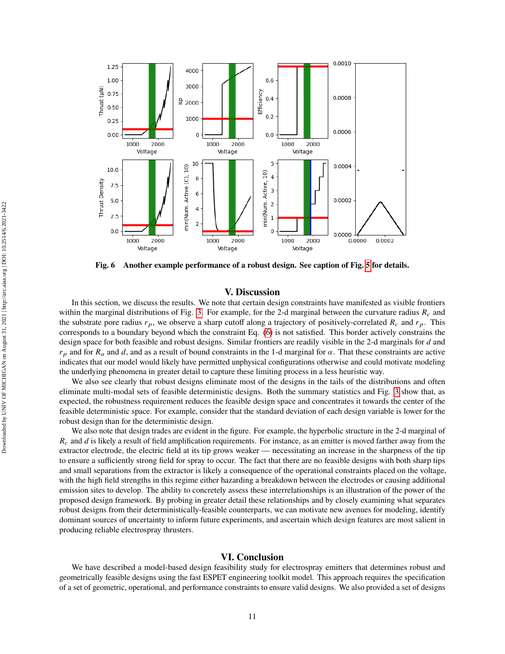<span id="page-10-0"></span>

**Fig. 6 Another example performance of a robust design. See caption of Fig. [5](#page-9-2) for details.**

# **V. Discussion**

In this section, we discuss the results. We note that certain design constraints have manifested as visible frontiers within the marginal distributions of Fig. [3.](#page-7-0) For example, for the 2-d marginal between the curvature radius  $R_c$  and the substrate pore radius  $r_p$ , we observe a sharp cutoff along a trajectory of positively-correlated  $R_c$  and  $r_p$ . This corresponds to a boundary beyond which the constraint Eq. [\(6\)](#page-2-3) is not satisfied. This border actively constrains the design space for both feasible and robust designs. Similar frontiers are readily visible in the 2-d marginals for  $d$  and  $r_p$  and for  $R_a$  and d, and as a result of bound constraints in the 1-d marginal for  $\alpha$ . That these constraints are active indicates that our model would likely have permitted unphysical configurations otherwise and could motivate modeling the underlying phenomena in greater detail to capture these limiting process in a less heuristic way.

We also see clearly that robust designs eliminate most of the designs in the tails of the distributions and often eliminate multi-modal sets of feasible deterministic designs. Both the summary statistics and Fig. [3](#page-7-0) show that, as expected, the robustness requirement reduces the feasible design space and concentrates it towards the center of the feasible deterministic space. For example, consider that the standard deviation of each design variable is lower for the robust design than for the deterministic design.

We also note that design trades are evident in the figure. For example, the hyperbolic structure in the 2-d marginal of  $R_c$  and d is likely a result of field amplification requirements. For instance, as an emitter is moved farther away from the extractor electrode, the electric field at its tip grows weaker — necessitating an increase in the sharpness of the tip to ensure a sufficiently strong field for spray to occur. The fact that there are no feasible designs with both sharp tips and small separations from the extractor is likely a consequence of the operational constraints placed on the voltage, with the high field strengths in this regime either hazarding a breakdown between the electrodes or causing additional emission sites to develop. The ability to concretely assess these interrelationships is an illustration of the power of the proposed design framework. By probing in greater detail these relationships and by closely examining what separates robust designs from their deterministically-feasible counterparts, we can motivate new avenues for modeling, identify dominant sources of uncertainty to inform future experiments, and ascertain which design features are most salient in producing reliable electrospray thrusters.

## **VI. Conclusion**

We have described a model-based design feasibility study for electrospray emitters that determines robust and geometrically feasible designs using the fast ESPET engineering toolkit model. This approach requires the specification of a set of geometric, operational, and performance constraints to ensure valid designs. We also provided a set of designs